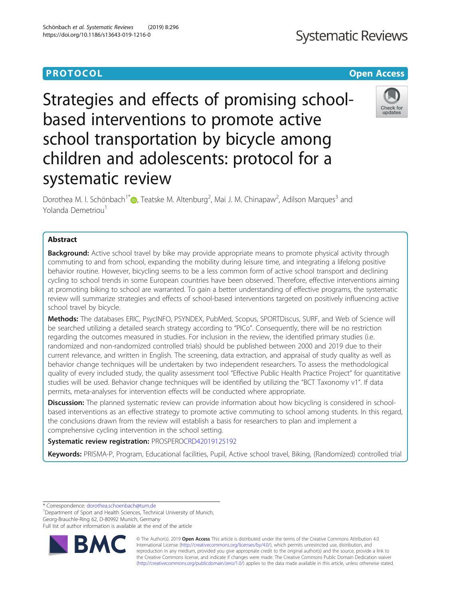# Strategies and effects of promising schoolbased interventions to promote active school transportation by bicycle among children and adolescents: protocol for a systematic review

Dorothea M. I. Schönbach<sup>1[\\*](http://orcid.org/0000-0002-5158-4718)</sup> , Teatske M. Altenburg<sup>2</sup>, Mai J. M. Chinapaw<sup>2</sup>, Adilson Marques<sup>3</sup> and Yolanda Demetriou<sup>1</sup>

# Abstract

**Background:** Active school travel by bike may provide appropriate means to promote physical activity through commuting to and from school, expanding the mobility during leisure time, and integrating a lifelong positive behavior routine. However, bicycling seems to be a less common form of active school transport and declining cycling to school trends in some European countries have been observed. Therefore, effective interventions aiming at promoting biking to school are warranted. To gain a better understanding of effective programs, the systematic review will summarize strategies and effects of school-based interventions targeted on positively influencing active school travel by bicycle.

Methods: The databases ERIC, PsycINFO, PSYNDEX, PubMed, Scopus, SPORTDiscus, SURF, and Web of Science will be searched utilizing a detailed search strategy according to "PICo". Consequently, there will be no restriction regarding the outcomes measured in studies. For inclusion in the review, the identified primary studies (i.e. randomized and non-randomized controlled trials) should be published between 2000 and 2019 due to their current relevance, and written in English. The screening, data extraction, and appraisal of study quality as well as behavior change techniques will be undertaken by two independent researchers. To assess the methodological quality of every included study, the quality assessment tool "Effective Public Health Practice Project" for quantitative studies will be used. Behavior change techniques will be identified by utilizing the "BCT Taxonomy v1". If data permits, meta-analyses for intervention effects will be conducted where appropriate.

**Discussion:** The planned systematic review can provide information about how bicycling is considered in schoolbased interventions as an effective strategy to promote active commuting to school among students. In this regard, the conclusions drawn from the review will establish a basis for researchers to plan and implement a comprehensive cycling intervention in the school setting.

Systematic review registration: PROSPERO[CRD42019125192](https://www.crd.york.ac.uk/prospero/)

Keywords: PRISMA-P, Program, Educational facilities, Pupil, Active school travel, Biking, (Randomized) controlled trial

\* Correspondence: [dorothea.schoenbach@tum.de](mailto:dorothea.schoenbach@tum.de) <sup>1</sup>

<sup>1</sup>Department of Sport and Health Sciences, Technical University of Munich, Georg-Brauchle-Ring 62, D-80992 Munich, Germany

Full list of author information is available at the end of the article





© The Author(s). 2019 Open Access This article is distributed under the terms of the Creative Commons Attribution 4.0 International License [\(http://creativecommons.org/licenses/by/4.0/](http://creativecommons.org/licenses/by/4.0/)), which permits unrestricted use, distribution, and reproduction in any medium, provided you give appropriate credit to the original author(s) and the source, provide a link to the Creative Commons license, and indicate if changes were made. The Creative Commons Public Domain Dedication waiver [\(http://creativecommons.org/publicdomain/zero/1.0/](http://creativecommons.org/publicdomain/zero/1.0/)) applies to the data made available in this article, unless otherwise stated.



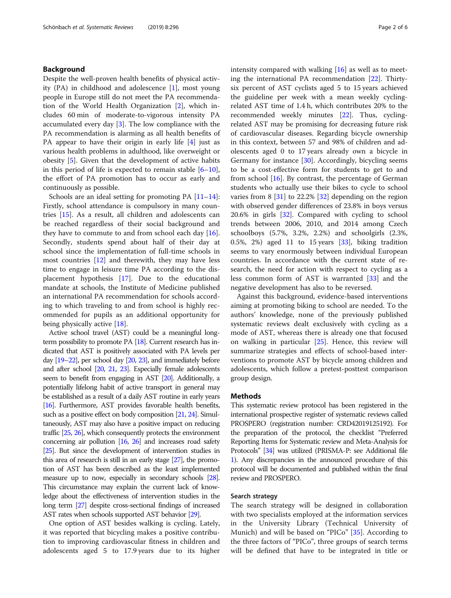# Background

Despite the well-proven health benefits of physical activity (PA) in childhood and adolescence  $[1]$  $[1]$ , most young people in Europe still do not meet the PA recommendation of the World Health Organization [\[2](#page-4-0)], which includes 60 min of moderate-to-vigorous intensity PA accumulated every day [\[3](#page-4-0)]. The low compliance with the PA recommendation is alarming as all health benefits of PA appear to have their origin in early life [\[4](#page-4-0)] just as various health problems in adulthood, like overweight or obesity [\[5](#page-4-0)]. Given that the development of active habits in this period of life is expected to remain stable  $[6-10]$  $[6-10]$  $[6-10]$  $[6-10]$  $[6-10]$ , the effort of PA promotion has to occur as early and continuously as possible.

Schools are an ideal setting for promoting PA  $[11-14]$  $[11-14]$  $[11-14]$  $[11-14]$  $[11-14]$ : Firstly, school attendance is compulsory in many countries [[15\]](#page-4-0). As a result, all children and adolescents can be reached regardless of their social background and they have to commute to and from school each day [\[16](#page-4-0)]. Secondly, students spend about half of their day at school since the implementation of full-time schools in most countries [[12\]](#page-4-0) and therewith, they may have less time to engage in leisure time PA according to the displacement hypothesis [\[17\]](#page-4-0). Due to the educational mandate at schools, the Institute of Medicine published an international PA recommendation for schools according to which traveling to and from school is highly recommended for pupils as an additional opportunity for being physically active [[18\]](#page-4-0).

Active school travel (AST) could be a meaningful longterm possibility to promote PA [[18\]](#page-4-0). Current research has indicated that AST is positively associated with PA levels per day [[19](#page-4-0)–[22\]](#page-4-0), per school day [\[20](#page-4-0), [23](#page-4-0)], and immediately before and after school [\[20](#page-4-0), [21](#page-4-0), [23\]](#page-4-0). Especially female adolescents seem to benefit from engaging in AST [\[20\]](#page-4-0). Additionally, a potentially lifelong habit of active transport in general may be established as a result of a daily AST routine in early years [[16\]](#page-4-0). Furthermore, AST provides favorable health benefits, such as a positive effect on body composition [[21,](#page-4-0) [24\]](#page-4-0). Simultaneously, AST may also have a positive impact on reducing traffic [\[25](#page-4-0), [26](#page-4-0)], which consequently protects the environment concerning air pollution [\[16](#page-4-0), [26\]](#page-4-0) and increases road safety [[25\]](#page-4-0). But since the development of intervention studies in this area of research is still in an early stage [\[27\]](#page-4-0), the promotion of AST has been described as the least implemented measure up to now, especially in secondary schools [\[28\]](#page-4-0). This circumstance may explain the current lack of knowledge about the effectiveness of intervention studies in the long term [\[27\]](#page-4-0) despite cross-sectional findings of increased AST rates when schools supported AST behavior [\[29\]](#page-4-0).

One option of AST besides walking is cycling. Lately, it was reported that bicycling makes a positive contribution to improving cardiovascular fitness in children and adolescents aged 5 to 17.9 years due to its higher intensity compared with walking [\[16](#page-4-0)] as well as to meeting the international PA recommendation [[22\]](#page-4-0). Thirtysix percent of AST cyclists aged 5 to 15 years achieved the guideline per week with a mean weekly cyclingrelated AST time of 1.4 h, which contributes 20% to the recommended weekly minutes [[22\]](#page-4-0). Thus, cyclingrelated AST may be promising for decreasing future risk of cardiovascular diseases. Regarding bicycle ownership in this context, between 57 and 98% of children and adolescents aged 0 to 17 years already own a bicycle in Germany for instance [\[30\]](#page-5-0). Accordingly, bicycling seems to be a cost-effective form for students to get to and from school  $[16]$  $[16]$ . By contrast, the percentage of German students who actually use their bikes to cycle to school varies from 8 [[31\]](#page-5-0) to 22.2% [[32\]](#page-5-0) depending on the region with observed gender differences of 23.8% in boys versus 20.6% in girls [[32\]](#page-5-0). Compared with cycling to school trends between 2006, 2010, and 2014 among Czech schoolboys (5.7%, 3.2%, 2.2%) and schoolgirls (2.3%, 0.5%, 2%) aged 11 to 15 years  $[33]$  $[33]$ , biking tradition seems to vary enormously between individual European countries. In accordance with the current state of research, the need for action with respect to cycling as a less common form of AST is warranted [[33](#page-5-0)] and the negative development has also to be reversed.

Against this background, evidence-based interventions aiming at promoting biking to school are needed. To the authors' knowledge, none of the previously published systematic reviews dealt exclusively with cycling as a mode of AST, whereas there is already one that focused on walking in particular [\[25](#page-4-0)]. Hence, this review will summarize strategies and effects of school-based interventions to promote AST by bicycle among children and adolescents, which follow a pretest-posttest comparison group design.

# Methods

This systematic review protocol has been registered in the international prospective register of systematic reviews called PROSPERO (registration number: CRD42019125192). For the preparation of the protocol, the checklist "Preferred Reporting Items for Systematic review and Meta-Analysis for Protocols" [[34\]](#page-5-0) was utilized (PRISMA-P: see Additional file [1](#page-3-0)). Any discrepancies in the announced procedure of this protocol will be documented and published within the final review and PROSPERO.

# Search strategy

The search strategy will be designed in collaboration with two specialists employed at the information services in the University Library (Technical University of Munich) and will be based on "PICo" [\[35\]](#page-5-0). According to the three factors of "PICo", three groups of search terms will be defined that have to be integrated in title or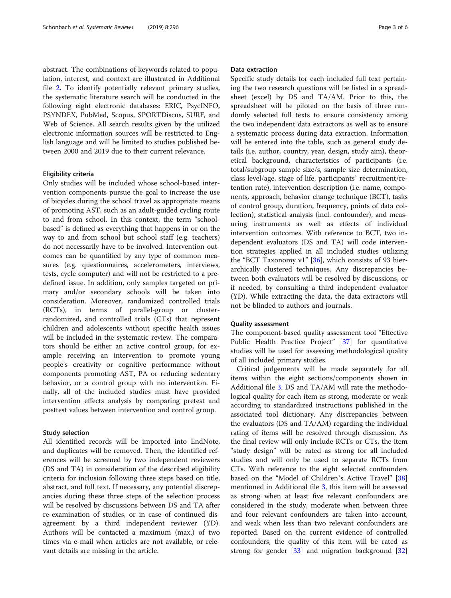abstract. The combinations of keywords related to population, interest, and context are illustrated in Additional file [2.](#page-3-0) To identify potentially relevant primary studies, the systematic literature search will be conducted in the following eight electronic databases: ERIC, PsycINFO, PSYNDEX, PubMed, Scopus, SPORTDiscus, SURF, and Web of Science. All search results given by the utilized electronic information sources will be restricted to English language and will be limited to studies published between 2000 and 2019 due to their current relevance.

## Eligibility criteria

Only studies will be included whose school-based intervention components pursue the goal to increase the use of bicycles during the school travel as appropriate means of promoting AST, such as an adult-guided cycling route to and from school. In this context, the term "schoolbased" is defined as everything that happens in or on the way to and from school but school staff (e.g. teachers) do not necessarily have to be involved. Intervention outcomes can be quantified by any type of common measures (e.g. questionnaires, accelerometers, interviews, tests, cycle computer) and will not be restricted to a predefined issue. In addition, only samples targeted on primary and/or secondary schools will be taken into consideration. Moreover, randomized controlled trials (RCTs), in terms of parallel-group or clusterrandomized, and controlled trials (CTs) that represent children and adolescents without specific health issues will be included in the systematic review. The comparators should be either an active control group, for example receiving an intervention to promote young people's creativity or cognitive performance without components promoting AST, PA or reducing sedentary behavior, or a control group with no intervention. Finally, all of the included studies must have provided intervention effects analysis by comparing pretest and posttest values between intervention and control group.

# Study selection

All identified records will be imported into EndNote, and duplicates will be removed. Then, the identified references will be screened by two independent reviewers (DS and TA) in consideration of the described eligibility criteria for inclusion following three steps based on title, abstract, and full text. If necessary, any potential discrepancies during these three steps of the selection process will be resolved by discussions between DS and TA after re-examination of studies, or in case of continued disagreement by a third independent reviewer (YD). Authors will be contacted a maximum (max.) of two times via e-mail when articles are not available, or relevant details are missing in the article.

### Data extraction

Specific study details for each included full text pertaining the two research questions will be listed in a spreadsheet (excel) by DS and TA/AM. Prior to this, the spreadsheet will be piloted on the basis of three randomly selected full texts to ensure consistency among the two independent data extractors as well as to ensure a systematic process during data extraction. Information will be entered into the table, such as general study details (i.e. author, country, year, design, study aim), theoretical background, characteristics of participants (i.e. total/subgroup sample size/s, sample size determination, class level/age, stage of life, participants' recruitment/retention rate), intervention description (i.e. name, components, approach, behavior change technique (BCT), tasks of control group, duration, frequency, points of data collection), statistical analysis (incl. confounder), and measuring instruments as well as effects of individual intervention outcomes. With reference to BCT, two independent evaluators (DS and TA) will code intervention strategies applied in all included studies utilizing the "BCT Taxonomy v1" [\[36](#page-5-0)], which consists of 93 hierarchically clustered techniques. Any discrepancies between both evaluators will be resolved by discussions, or if needed, by consulting a third independent evaluator (YD). While extracting the data, the data extractors will not be blinded to authors and journals.

# Quality assessment

The component-based quality assessment tool "Effective Public Health Practice Project" [\[37](#page-5-0)] for quantitative studies will be used for assessing methodological quality of all included primary studies.

Critical judgements will be made separately for all items within the eight sections/components shown in Additional file [3](#page-3-0). DS and TA/AM will rate the methodological quality for each item as strong, moderate or weak according to standardized instructions published in the associated tool dictionary. Any discrepancies between the evaluators (DS and TA/AM) regarding the individual rating of items will be resolved through discussion. As the final review will only include RCTs or CTs, the item "study design" will be rated as strong for all included studies and will only be used to separate RCTs from CTs. With reference to the eight selected confounders based on the "Model of Children's Active Travel" [[38](#page-5-0)] mentioned in Additional file [3,](#page-3-0) this item will be assessed as strong when at least five relevant confounders are considered in the study, moderate when between three and four relevant confounders are taken into account, and weak when less than two relevant confounders are reported. Based on the current evidence of controlled confounders, the quality of this item will be rated as strong for gender [\[33](#page-5-0)] and migration background [[32](#page-5-0)]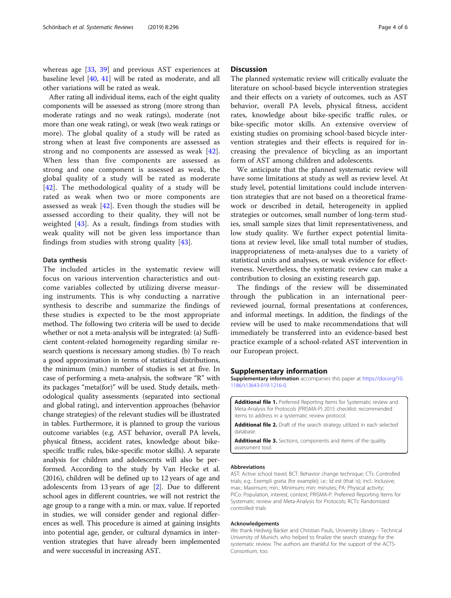<span id="page-3-0"></span>whereas age [\[33](#page-5-0), [39\]](#page-5-0) and previous AST experiences at baseline level [\[40](#page-5-0), [41\]](#page-5-0) will be rated as moderate, and all other variations will be rated as weak.

After rating all individual items, each of the eight quality components will be assessed as strong (more strong than moderate ratings and no weak ratings), moderate (not more than one weak rating), or weak (two weak ratings or more). The global quality of a study will be rated as strong when at least five components are assessed as strong and no components are assessed as weak [\[42](#page-5-0)]. When less than five components are assessed as strong and one component is assessed as weak, the global quality of a study will be rated as moderate [[42\]](#page-5-0). The methodological quality of a study will be rated as weak when two or more components are assessed as weak [\[42](#page-5-0)]. Even though the studies will be assessed according to their quality, they will not be weighted [[43\]](#page-5-0). As a result, findings from studies with weak quality will not be given less importance than findings from studies with strong quality  $[43]$  $[43]$ .

# Data synthesis

The included articles in the systematic review will focus on various intervention characteristics and outcome variables collected by utilizing diverse measuring instruments. This is why conducting a narrative synthesis to describe and summarize the findings of these studies is expected to be the most appropriate method. The following two criteria will be used to decide whether or not a meta-analysis will be integrated: (a) Sufficient content-related homogeneity regarding similar research questions is necessary among studies. (b) To reach a good approximation in terms of statistical distributions, the minimum (min.) number of studies is set at five. In case of performing a meta-analysis, the software "R" with its packages "meta(for)" will be used. Study details, methodological quality assessments (separated into sectional and global rating), and intervention approaches (behavior change strategies) of the relevant studies will be illustrated in tables. Furthermore, it is planned to group the various outcome variables (e.g. AST behavior, overall PA levels, physical fitness, accident rates, knowledge about bikespecific traffic rules, bike-specific motor skills). A separate analysis for children and adolescents will also be performed. According to the study by Van Hecke et al. (2016), children will be defined up to 12 years of age and adolescents from 13 years of age [\[2](#page-4-0)]. Due to different school ages in different countries, we will not restrict the age group to a range with a min. or max. value. If reported in studies, we will consider gender and regional differences as well. This procedure is aimed at gaining insights into potential age, gender, or cultural dynamics in intervention strategies that have already been implemented and were successful in increasing AST.

# **Discussion**

The planned systematic review will critically evaluate the literature on school-based bicycle intervention strategies and their effects on a variety of outcomes, such as AST behavior, overall PA levels, physical fitness, accident rates, knowledge about bike-specific traffic rules, or bike-specific motor skills. An extensive overview of existing studies on promising school-based bicycle intervention strategies and their effects is required for increasing the prevalence of bicycling as an important form of AST among children and adolescents.

We anticipate that the planned systematic review will have some limitations at study as well as review level. At study level, potential limitations could include intervention strategies that are not based on a theoretical framework or described in detail, heterogeneity in applied strategies or outcomes, small number of long-term studies, small sample sizes that limit representativeness, and low study quality. We further expect potential limitations at review level, like small total number of studies, inappropriateness of meta-analyses due to a variety of statistical units and analyses, or weak evidence for effectiveness. Nevertheless, the systematic review can make a contribution to closing an existing research gap.

The findings of the review will be disseminated through the publication in an international peerreviewed journal, formal presentations at conferences, and informal meetings. In addition, the findings of the review will be used to make recommendations that will immediately be transferred into an evidence-based best practice example of a school-related AST intervention in our European project.

# Supplementary information

Supplementary information accompanies this paper at [https://doi.org/10.](https://doi.org/10.1186/s13643-019-1216-0) [1186/s13643-019-1216-0.](https://doi.org/10.1186/s13643-019-1216-0)

Additional file 1. Preferred Reporting Items for Systematic review and Meta-Analysis for Protocols (PRISMA-P) 2015 checklist: recommended items to address in a systematic review protocol.

Additional file 2. Draft of the search strategy utilized in each selected database.

Additional file 3. Sections, components and items of the quality assessment tool.

#### Abbreviations

AST: Active school travel; BCT: Behavior change technique; CTs: Controlled trials; e.g.: Exempli gratia (for example); i.e.: Id est (that is); incl.: Inclusive; max.: Maximum; min.: Minimum; min: minutes; PA: Physical activity; PICo: Population, interest, context; PRISMA-P: Preferred Reporting Items for Systematic review and Meta-Analysis for Protocols; RCTs: Randomized controlled trials

#### Acknowledgements

We thank Hedwig Bäcker and Christian Pauls, University Library – Technical University of Munich, who helped to finalize the search strategy for the systematic review. The authors are thankful for the support of the ACTS-Consortium, too.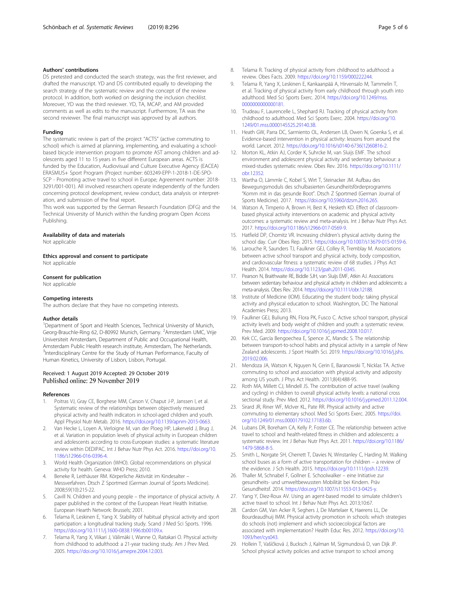# <span id="page-4-0"></span>Authors' contributions

DS pretested and conducted the search strategy, was the first reviewer, and drafted the manuscript. YD and DS contributed equally to developing the search strategy of the systematic review and the concept of the review protocol. In addition, both worked on designing the inclusion checklist. Moreover, YD was the third reviewer. YD, TA, MCAP, and AM provided comments as well as edits to the manuscript. Furthermore, TA was the second reviewer. The final manuscript was approved by all authors.

#### Funding

The systematic review is part of the project "ACTS" (active commuting to school) which is aimed at planning, implementing, and evaluating a schoolbased bicycle intervention program to promote AST among children and adolescents aged 11 to 15 years in five different European areas. ACTS is funded by the Education, Audiovisual and Culture Executive Agency (EACEA) ERASMUS+ Sport Program (Project number: 603249-EPP-1-2018-1-DE-SPO-SCP - Promoting active travel to school in Europe; Agreement number: 2018- 3291/001-001). All involved researchers operate independently of the funders concerning protocol development, review conduct, data analysis or interpretation, and submission of the final report.

This work was supported by the German Research Foundation (DFG) and the Technical University of Munich within the funding program Open Access Publishing.

# Availability of data and materials

Not applicable

Ethics approval and consent to participate

Not applicable

# Consent for publication

Not applicable

#### Competing interests

The authors declare that they have no competing interests.

#### Author details

<sup>1</sup>Department of Sport and Health Sciences, Technical University of Munich, Georg-Brauchle-Ring 62, D-80992 Munich, Germany. <sup>2</sup>Amsterdam UMC, Vrije Universiteit Amsterdam, Department of Public and Occupational Health, Amsterdam Public Health research institute, Amsterdam, The Netherlands. <sup>3</sup>Interdisciplinary Centre for the Study of Human Performance, Faculty of Human Kinetics, University of Lisbon, Lisbon, Portugal.

# Received: 1 August 2019 Accepted: 29 October 2019 Published online: 29 November 2019

#### References

- 1. Poitras VJ, Gray CE, Borghese MM, Carson V, Chaput J-P, Janssen I, et al. Systematic review of the relationships between objectively measured physical activity and health indicators in school-aged children and youth. Appl Physiol Nutr Metab. 2016. <https://doi.org/10.1139/apnm-2015-0663>.
- 2. Van Hecke L, Loyen A, Verloigne M, van der Ploeg HP, Lakerveld J, Brug J, et al. Variation in population levels of physical activity in European children and adolescents according to cross-European studies: a systematic literature review within DEDIPAC. Int J Behav Nutr Phys Act. 2016. [https://doi.org/10.](https://doi.org/10.1186/s12966-016-0396-4) [1186/s12966-016-0396-4.](https://doi.org/10.1186/s12966-016-0396-4)
- 3. World Health Organization (WHO). Global recommendations on physical activity for health. Geneva: WHO Press; 2010.
- 4. Beneke R, Leithäuser RM. Körperliche Aktivität im Kindesalter Messverfahren. Dtsch Z Sportmed (German Journal of Sports Medicine). 2008;59(10):215-22.
- 5. Cavill N. Children and young people the importance of physical activity. A paper published in the context of the European Heart Health Initiative. European Hearth Network: Brussels; 2001.
- 6. Telama R, Leskinen E, Yang X. Stability of habitual physical activity and sport participation: a longitudinal tracking study. Scand J Med Sci Sports. 1996. <https://doi.org/10.1111/j.1600-0838.1996.tb00109.x>.
- 7. Telama R, Yang X, Viikari J, Välimäki I, Wanne O, Raitakari O. Physical activity from childhood to adulthood: a 21-year tracking study. Am J Prev Med. 2005. [https://doi.org/10.1016/j.amepre.2004.12.003.](https://doi.org/10.1016/j.amepre.2004.12.003)
- 8. Telama R. Tracking of physical activity from childhood to adulthood: a review. Obes Facts. 2009. <https://doi.org/10.1159/000222244>.
- 9. Telama R, Yang X, Leskinen E, Kankaanpää A, Hirvensalo M, Tammelin T, et al. Tracking of physical activity from early childhood through youth into adulthood. Med Sci Sports Exerc. 2014. [https://doi.org/10.1249/mss.](https://doi.org/10.1249/mss.0000000000000181) [0000000000000181](https://doi.org/10.1249/mss.0000000000000181).
- 10. Trudeau F, Laurencelle L, Shephard RJ. Tracking of physical activity from childhood to adulthood. Med Sci Sports Exerc. 2004. [https://doi.org/10.](https://doi.org/10.1249/01.mss.0000145525.29140.3B) [1249/01.mss.0000145525.29140.3B.](https://doi.org/10.1249/01.mss.0000145525.29140.3B)
- 11. Heath GW, Parra DC, Sarmiento OL, Andersen LB, Owen N, Goenka S, et al. Evidence-based intervention in physical activity: lessons from around the world. Lancet. 2012. [https://doi.org/10.1016/s0140-6736\(12\)60816-2.](https://doi.org/10.1016/s0140-6736(12)60816-2)
- 12. Morton KL, Atkin AJ, Corder K, Suhrcke M, van Sluijs EMF. The school environment and adolescent physical activity and sedentary behaviour: a mixed-studies systematic review. Obes Rev. 2016. [https://doi.org/10.1111/](https://doi.org/10.1111/obr.12352) [obr.12352.](https://doi.org/10.1111/obr.12352)
- 13. Wartha O, Lämmle C, Kobel S, Wirt T, Steinacker JM. Aufbau des Bewegungsmoduls des schulbasierten Gesundheitsförderprogramms "Komm mit in das gesunde Boot". Dtsch Z Sportmed (German Journal of Sports Medicine). 2017. <https://doi.org/10.5960/dzsm.2016.265>.
- 14. Watson A, Timperio A, Brown H, Best K, Hesketh KD. Effect of classroombased physical activity interventions on academic and physical activity outcomes: a systematic review and meta-analysis. Int J Behav Nutr Phys Act. 2017. <https://doi.org/10.1186/s12966-017-0569-9>.
- 15. Hatfield DP, Chomitz VR. Increasing children's physical activity during the school day. Curr Obes Rep. 2015. <https://doi.org/10.1007/s13679-015-0159-6>.
- 16. Larouche R, Saunders TJ, Faulkner GEJ, Colley R, Tremblay M. Associations between active school transport and physical activity, body composition, and cardiovascular fitness: a systematic review of 68 studies. J Phys Act Health. 2014. [https://doi.org/10.1123/jpah.2011-0345.](https://doi.org/10.1123/jpah.2011-0345)
- 17. Pearson N, Braithwaite RE, Biddle SJH, van Sluijs EMF, Atkin AJ. Associations between sedentary behaviour and physical activity in children and adolescents: a meta-analysis. Obes Rev. 2014. <https://doi.org/10.1111/obr.12188>.
- 18. Institute of Medicine (IOM). Educating the student body: taking physical activity and physical education to school. Washington, DC: The National Academies Press; 2013.
- 19. Faulkner GEJ, Buliung RN, Flora PK, Fusco C. Active school transport, physical activity levels and body weight of children and youth: a systematic review. Prev Med. 2009. <https://doi.org/10.1016/j.ypmed.2008.10.017>.
- 20. Kek CC, García Bengoechea E, Spence JC, Mandic S. The relationship between transport-to-school habits and physical activity in a sample of New Zealand adolescents. J Sport Health Sci. 2019. [https://doi.org/10.1016/j.jshs.](https://doi.org/10.1016/j.jshs.2019.02.006) [2019.02.006.](https://doi.org/10.1016/j.jshs.2019.02.006)
- 21. Mendoza JA, Watson K, Nguyen N, Cerin E, Baranowski T, Nicklas TA. Active commuting to school and association with physical activity and adiposity among US youth. J Phys Act Health. 2011;8(4):488-95.
- 22. Roth MA, Millett CJ, Mindell JS. The contribution of active travel (walking and cycling) in children to overall physical activity levels: a national cross sectional study. Prev Med. 2012. <https://doi.org/10.1016/j.ypmed.2011.12.004>.
- 23. Sirard JR, Riner WF, McIver KL, Pate RR. Physical activity and active commuting to elementary school. Med Sci Sports Exerc. 2005. [https://doi.](https://doi.org/10.1249/01.mss.0000179102.17183.6b) [org/10.1249/01.mss.0000179102.17183.6b.](https://doi.org/10.1249/01.mss.0000179102.17183.6b)
- 24. Lubans DR, Boreham CA, Kelly P, Foster CE. The relationship between active travel to school and health-related fitness in children and adolescents: a systematic review. Int J Behav Nutr Phys Act. 2011. [https://doi.org/10.1186/](https://doi.org/10.1186/1479-5868-8-5) [1479-5868-8-5](https://doi.org/10.1186/1479-5868-8-5).
- 25. Smith L, Norgate SH, Cherrett T, Davies N, Winstanley C, Harding M. Walking school buses as a form of active transportation for children – a review of the evidence. J Sch Health. 2015. [https://doi.org/10.1111/josh.12239.](https://doi.org/10.1111/josh.12239)
- 26. Thaller M, Schnabel F, Gollner E. Schoolwalker eine Initiative zur gesundheits- und umweltbewussten Mobilität bei Kindern. Präv Gesundheitsf. 2014. <https://doi.org/10.1007/s11553-013-0425-y>.
- 27. Yang Y, Diez-Roux AV. Using an agent-based model to simulate children's active travel to school. Int J Behav Nutr Phys Act. 2013;10:67.
- 28. Cardon GM, Van Acker R, Seghers J, De Martelaer K, Haerens LL, De Bourdeaudhuij IMM. Physical activity promotion in schools: which strategies do schools (not) implement and which socioecological factors are associated with implementation? Health Educ Res. 2012. [https://doi.org/10.](https://doi.org/10.1093/her/cys043) [1093/her/cys043.](https://doi.org/10.1093/her/cys043)
- 29. Hollein T, Vašíčková J, Bucksch J, Kalman M, Sigmundová D, van Dijk JP. School physical activity policies and active transport to school among